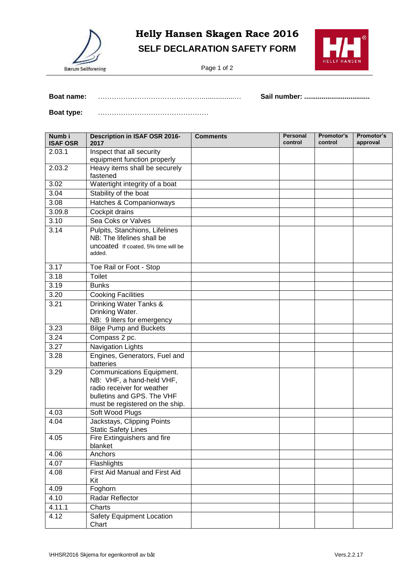

## **Helly Hansen Skagen Race 2016 SELF DECLARATION SAFETY FORM**

Page 1 of 2



**Boat name:** ……………………………………….................… **Sail number: ..................................**

**Boat type:** …………………………………………

| Numb i<br><b>ISAF OSR</b> | Description in ISAF OSR 2016-<br>2017                                                                                                                 | <b>Comments</b> | Personal<br>control | Promotor's<br>control | Promotor's<br>approval |
|---------------------------|-------------------------------------------------------------------------------------------------------------------------------------------------------|-----------------|---------------------|-----------------------|------------------------|
| 2.03.1                    | Inspect that all security                                                                                                                             |                 |                     |                       |                        |
| 2.03.2                    | equipment function properly<br>Heavy items shall be securely                                                                                          |                 |                     |                       |                        |
|                           | fastened                                                                                                                                              |                 |                     |                       |                        |
| 3.02                      | Watertight integrity of a boat                                                                                                                        |                 |                     |                       |                        |
| 3.04                      | Stability of the boat                                                                                                                                 |                 |                     |                       |                        |
| 3.08                      | Hatches & Companionways                                                                                                                               |                 |                     |                       |                        |
| 3.09.8                    | Cockpit drains                                                                                                                                        |                 |                     |                       |                        |
| 3.10                      | Sea Coks or Valves                                                                                                                                    |                 |                     |                       |                        |
| 3.14                      | Pulpits, Stanchions, Lifelines<br>NB: The lifelines shall be<br>uncoated If coated, 5% time will be<br>added.                                         |                 |                     |                       |                        |
|                           |                                                                                                                                                       |                 |                     |                       |                        |
| 3.17                      | Toe Rail or Foot - Stop                                                                                                                               |                 |                     |                       |                        |
| 3.18                      | <b>Toilet</b>                                                                                                                                         |                 |                     |                       |                        |
| 3.19                      | <b>Bunks</b>                                                                                                                                          |                 |                     |                       |                        |
| 3.20                      | <b>Cooking Facilities</b>                                                                                                                             |                 |                     |                       |                        |
| 3.21                      | <b>Drinking Water Tanks &amp;</b><br>Drinking Water.<br>NB: 9 liters for emergency                                                                    |                 |                     |                       |                        |
| 3.23                      | <b>Bilge Pump and Buckets</b>                                                                                                                         |                 |                     |                       |                        |
| 3.24                      | Compass 2 pc.                                                                                                                                         |                 |                     |                       |                        |
| 3.27                      | <b>Navigation Lights</b>                                                                                                                              |                 |                     |                       |                        |
| 3.28                      | Engines, Generators, Fuel and<br>batteries                                                                                                            |                 |                     |                       |                        |
| 3.29                      | Communications Equipment.<br>NB: VHF, a hand-held VHF,<br>radio receiver for weather<br>bulletins and GPS. The VHF<br>must be registered on the ship. |                 |                     |                       |                        |
| 4.03                      | Soft Wood Plugs                                                                                                                                       |                 |                     |                       |                        |
| 4.04                      | Jackstays, Clipping Points<br><b>Static Safety Lines</b>                                                                                              |                 |                     |                       |                        |
| 4.05                      | Fire Extinguishers and fire<br>blanket                                                                                                                |                 |                     |                       |                        |
| 4.06                      | Anchors                                                                                                                                               |                 |                     |                       |                        |
| 4.07                      | Flashlights                                                                                                                                           |                 |                     |                       |                        |
| 4.08                      | First Aid Manual and First Aid<br>Kit                                                                                                                 |                 |                     |                       |                        |
| 4.09                      | Foghorn                                                                                                                                               |                 |                     |                       |                        |
| 4.10                      | Radar Reflector                                                                                                                                       |                 |                     |                       |                        |
| 4.11.1                    | Charts                                                                                                                                                |                 |                     |                       |                        |
| 4.12                      | <b>Safety Equipment Location</b><br>Chart                                                                                                             |                 |                     |                       |                        |